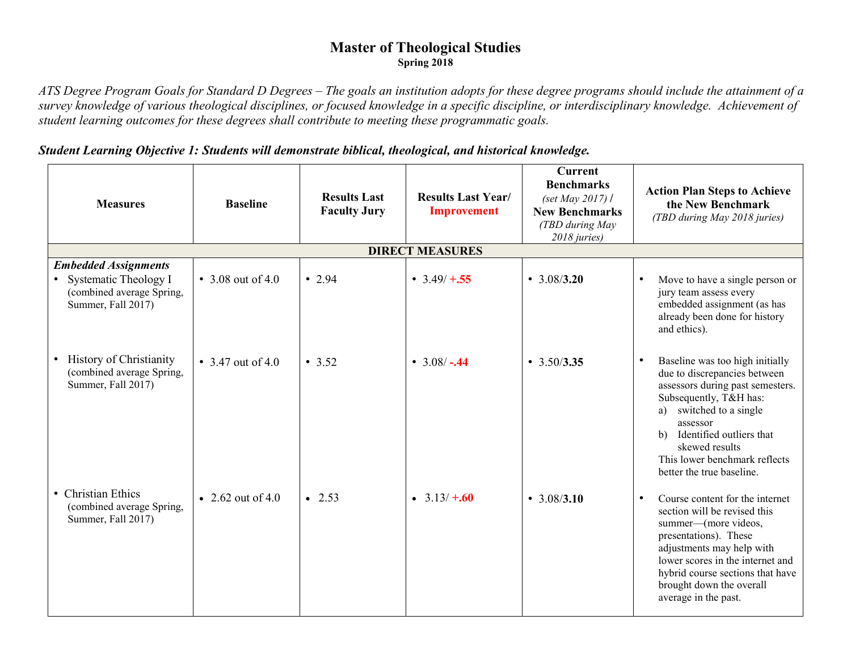## **Master of Theological Studies Spring 2018**

*ATS Degree Program Goals for Standard D Degrees – The goals an institution adopts for these degree programs should include the attainment of a survey knowledge of various theological disciplines, or focused knowledge in a specific discipline, or interdisciplinary knowledge. Achievement of student learning outcomes for these degrees shall contribute to meeting these programmatic goals.* 

## *Student Learning Objective 1: Students will demonstrate biblical, theological, and historical knowledge.*

| <b>Measures</b>                                                                                                      | <b>Baseline</b>   | <b>Results Last</b><br><b>Faculty Jury</b> | <b>Results Last Year/</b><br><b>Improvement</b> | <b>Current</b><br><b>Benchmarks</b><br>(set May 2017) /<br><b>New Benchmarks</b><br>(TBD during May<br>2018 juries) | <b>Action Plan Steps to Achieve</b><br>the New Benchmark<br>(TBD during May 2018 juries)                                                                                                                                                                                               |
|----------------------------------------------------------------------------------------------------------------------|-------------------|--------------------------------------------|-------------------------------------------------|---------------------------------------------------------------------------------------------------------------------|----------------------------------------------------------------------------------------------------------------------------------------------------------------------------------------------------------------------------------------------------------------------------------------|
|                                                                                                                      |                   |                                            | <b>DIRECT MEASURES</b>                          |                                                                                                                     |                                                                                                                                                                                                                                                                                        |
| <b>Embedded Assignments</b><br>Systematic Theology I<br>$\bullet$<br>(combined average Spring,<br>Summer, Fall 2017) | • 3.08 out of 4.0 | $\cdot$ 2.94                               | • $3.49/ + 0.55$                                | $\cdot$ 3.08/3.20                                                                                                   | Move to have a single person or<br>jury team assess every<br>embedded assignment (as has<br>already been done for history<br>and ethics).                                                                                                                                              |
| <b>History of Christianity</b><br>$\bullet$<br>(combined average Spring,<br>Summer, Fall 2017)                       | • 3.47 out of 4.0 | • 3.52                                     | • $3.08/-0.44$                                  | $\cdot$ 3.50/3.35                                                                                                   | Baseline was too high initially<br>due to discrepancies between<br>assessors during past semesters.<br>Subsequently, T&H has:<br>a) switched to a single<br>assessor<br>Identified outliers that<br>b)<br>skewed results<br>This lower benchmark reflects<br>better the true baseline. |
| • Christian Ethics<br>(combined average Spring,<br>Summer, Fall 2017)                                                | • 2.62 out of 4.0 | $\bullet$ 2.53                             | • $3.13/ + .60$                                 | $\cdot$ 3.08/3.10                                                                                                   | Course content for the internet<br>section will be revised this<br>summer—(more videos,<br>presentations). These<br>adjustments may help with<br>lower scores in the internet and<br>hybrid course sections that have<br>brought down the overall<br>average in the past.              |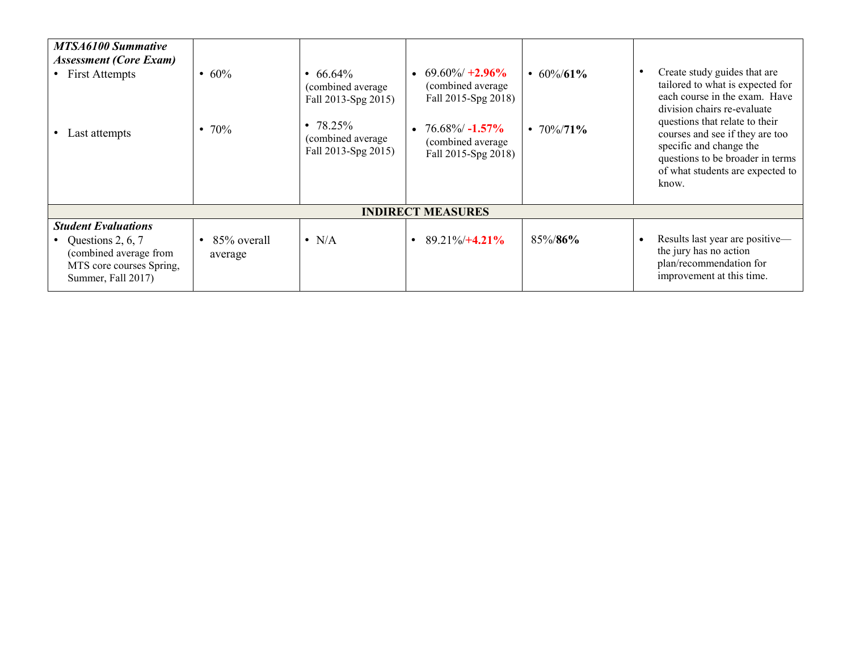| <b>MTSA6100 Summative</b><br><b>Assessment (Core Exam)</b><br>• First Attempts<br>Last attempts                             | • $60%$<br>70%<br>$\bullet$ | • 66.64%<br>(combined average<br>Fall 2013-Spg 2015)<br>• $78.25\%$<br>(combined average<br>Fall 2013-Spg 2015) | $69.60\% + 2.96\%$<br>(combined average<br>Fall 2015-Spg 2018)<br>$76.68\%$ -1.57%<br>(combined average<br>Fall 2015-Spg 2018) | • $60\%/61\%$<br>• $70\%/71\%$ | Create study guides that are<br>tailored to what is expected for<br>each course in the exam. Have<br>division chairs re-evaluate<br>questions that relate to their<br>courses and see if they are too<br>specific and change the<br>questions to be broader in terms<br>of what students are expected to<br>know. |  |
|-----------------------------------------------------------------------------------------------------------------------------|-----------------------------|-----------------------------------------------------------------------------------------------------------------|--------------------------------------------------------------------------------------------------------------------------------|--------------------------------|-------------------------------------------------------------------------------------------------------------------------------------------------------------------------------------------------------------------------------------------------------------------------------------------------------------------|--|
| <b>INDIRECT MEASURES</b>                                                                                                    |                             |                                                                                                                 |                                                                                                                                |                                |                                                                                                                                                                                                                                                                                                                   |  |
| <b>Student Evaluations</b><br>Questions 2, 6, 7<br>(combined average from<br>MTS core courses Spring,<br>Summer, Fall 2017) | 85% overall<br>average      | $\bullet$ N/A                                                                                                   | $89.21\%/+4.21\%$                                                                                                              | 85%/86%                        | Results last year are positive-<br>the jury has no action<br>plan/recommendation for<br>improvement at this time.                                                                                                                                                                                                 |  |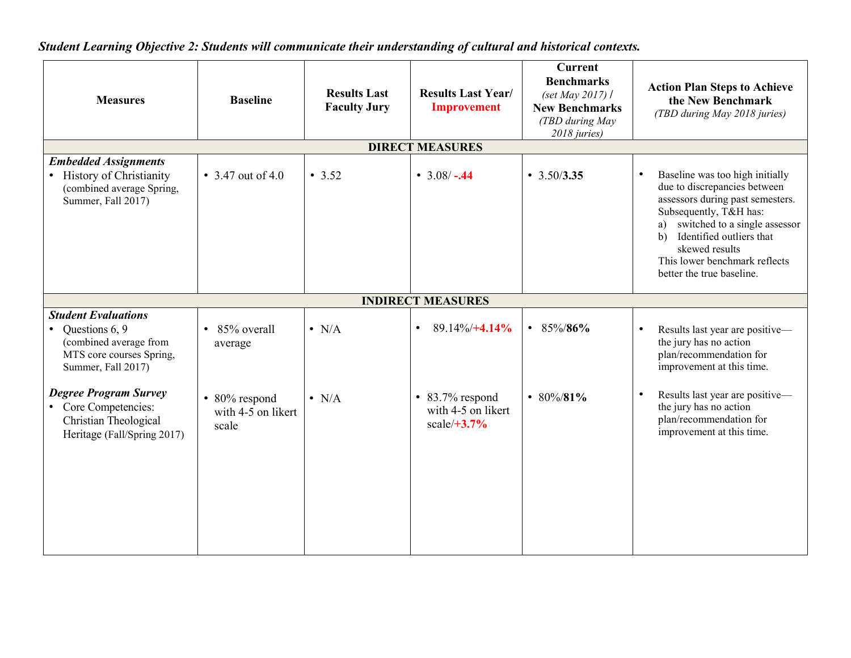*Student Learning Objective 2: Students will communicate their understanding of cultural and historical contexts.*

| <b>Measures</b>                                                                                                          | <b>Baseline</b>                              | <b>Results Last</b><br><b>Faculty Jury</b> | <b>Results Last Year/</b><br><b>Improvement</b>                 | <b>Current</b><br><b>Benchmarks</b><br>(set May 2017) $\ell$<br><b>New Benchmarks</b><br>(TBD during May<br>2018 juries) | <b>Action Plan Steps to Achieve</b><br>the New Benchmark<br>(TBD during May 2018 juries)                                                                                                                                                                                                            |
|--------------------------------------------------------------------------------------------------------------------------|----------------------------------------------|--------------------------------------------|-----------------------------------------------------------------|--------------------------------------------------------------------------------------------------------------------------|-----------------------------------------------------------------------------------------------------------------------------------------------------------------------------------------------------------------------------------------------------------------------------------------------------|
|                                                                                                                          |                                              |                                            | <b>DIRECT MEASURES</b>                                          |                                                                                                                          |                                                                                                                                                                                                                                                                                                     |
| <b>Embedded Assignments</b><br>• History of Christianity<br>(combined average Spring,<br>Summer, Fall 2017)              | • 3.47 out of 4.0                            | • 3.52                                     | • $3.08/-0.44$                                                  | $\cdot$ 3.50/3.35                                                                                                        | Baseline was too high initially<br>$\bullet$<br>due to discrepancies between<br>assessors during past semesters.<br>Subsequently, T&H has:<br>switched to a single assessor<br>a)<br>Identified outliers that<br>b)<br>skewed results<br>This lower benchmark reflects<br>better the true baseline. |
|                                                                                                                          |                                              |                                            | <b>INDIRECT MEASURES</b>                                        |                                                                                                                          |                                                                                                                                                                                                                                                                                                     |
| <b>Student Evaluations</b><br>Questions 6, 9<br>(combined average from<br>MTS core courses Spring,<br>Summer, Fall 2017) | 85% overall<br>average                       | $\bullet$ N/A                              | $89.14\%/+4.14\%$<br>$\bullet$                                  | • 85%/86%                                                                                                                | Results last year are positive-<br>$\bullet$<br>the jury has no action<br>plan/recommendation for<br>improvement at this time.                                                                                                                                                                      |
| <b>Degree Program Survey</b><br>• Core Competencies:<br>Christian Theological<br>Heritage (Fall/Spring 2017)             | • 80% respond<br>with 4-5 on likert<br>scale | $\bullet$ N/A                              | $\bullet$ 83.7% respond<br>with 4-5 on likert<br>$scale/ +3.7%$ | • 80%/81%                                                                                                                | Results last year are positive-<br>$\bullet$<br>the jury has no action<br>plan/recommendation for<br>improvement at this time.                                                                                                                                                                      |